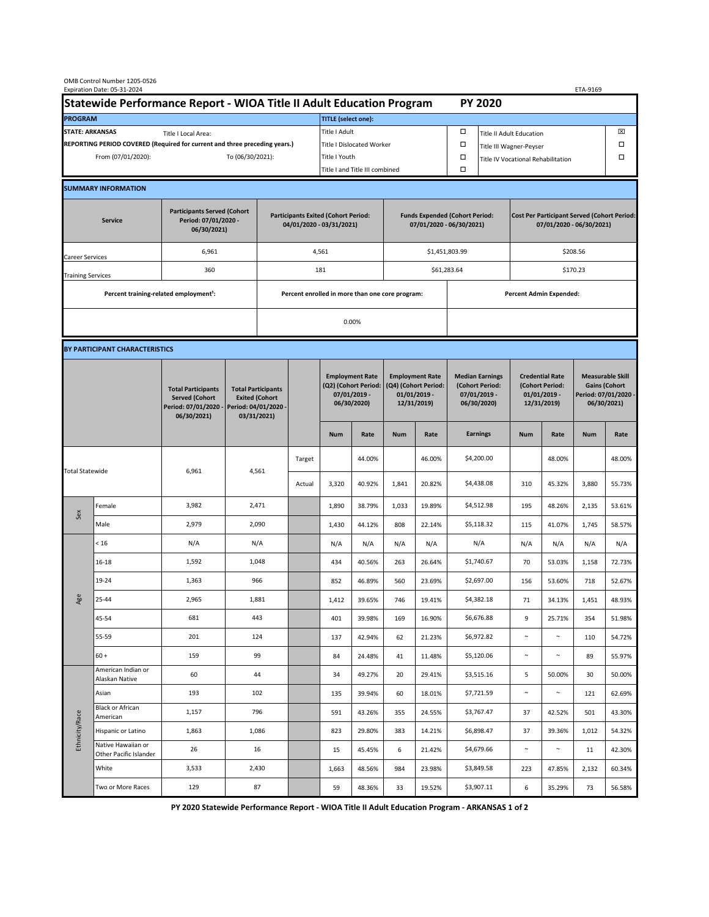| OMB Control Number 1205-0526<br>Expiration Date: 05-31-2024                                 |                                                                      |                                                                                           |                                                                                           |                                |                                                 |                                                                               |                                                                   |                                                                                 |                  |                                                                            |                                                                                | ETA-9169                                                                   |                  |                                                                                        |                  |  |
|---------------------------------------------------------------------------------------------|----------------------------------------------------------------------|-------------------------------------------------------------------------------------------|-------------------------------------------------------------------------------------------|--------------------------------|-------------------------------------------------|-------------------------------------------------------------------------------|-------------------------------------------------------------------|---------------------------------------------------------------------------------|------------------|----------------------------------------------------------------------------|--------------------------------------------------------------------------------|----------------------------------------------------------------------------|------------------|----------------------------------------------------------------------------------------|------------------|--|
|                                                                                             | Statewide Performance Report - WIOA Title II Adult Education Program |                                                                                           |                                                                                           |                                |                                                 |                                                                               |                                                                   |                                                                                 |                  |                                                                            | <b>PY 2020</b>                                                                 |                                                                            |                  |                                                                                        |                  |  |
| <b>PROGRAM</b>                                                                              |                                                                      |                                                                                           |                                                                                           |                                |                                                 | <b>TITLE</b> (select one):                                                    |                                                                   |                                                                                 |                  |                                                                            |                                                                                |                                                                            |                  |                                                                                        |                  |  |
| <b>STATE: ARKANSAS</b><br>Title I Local Area:                                               |                                                                      |                                                                                           |                                                                                           |                                |                                                 | Title I Adult                                                                 |                                                                   |                                                                                 |                  | □                                                                          | ⊠<br><b>Title II Adult Education</b>                                           |                                                                            |                  |                                                                                        |                  |  |
| REPORTING PERIOD COVERED (Required for current and three preceding years.)                  |                                                                      |                                                                                           |                                                                                           |                                | <b>Title I Dislocated Worker</b>                |                                                                               |                                                                   |                                                                                 |                  |                                                                            | $\Box$<br>Title III Wagner-Peyser                                              |                                                                            |                  |                                                                                        |                  |  |
| From (07/01/2020):                                                                          |                                                                      |                                                                                           | To (06/30/2021):                                                                          |                                |                                                 | Title I Youth                                                                 |                                                                   |                                                                                 |                  | $\Box$                                                                     |                                                                                | Title IV Vocational Rehabilitation                                         |                  |                                                                                        | П                |  |
|                                                                                             |                                                                      |                                                                                           |                                                                                           | Title I and Title III combined |                                                 |                                                                               |                                                                   |                                                                                 |                  | $\Box$                                                                     |                                                                                |                                                                            |                  |                                                                                        |                  |  |
|                                                                                             | <b>SUMMARY INFORMATION</b>                                           |                                                                                           |                                                                                           |                                |                                                 |                                                                               |                                                                   |                                                                                 |                  |                                                                            |                                                                                |                                                                            |                  |                                                                                        |                  |  |
| <b>Participants Served (Cohort</b><br>Period: 07/01/2020 -<br><b>Service</b><br>06/30/2021) |                                                                      |                                                                                           | <b>Participants Exited (Cohort Period:</b><br>04/01/2020 - 03/31/2021)                    |                                |                                                 |                                                                               | <b>Funds Expended (Cohort Period:</b><br>07/01/2020 - 06/30/2021) |                                                                                 |                  |                                                                            | <b>Cost Per Participant Served (Cohort Period:</b><br>07/01/2020 - 06/30/2021) |                                                                            |                  |                                                                                        |                  |  |
| 6,961<br>Career Services                                                                    |                                                                      |                                                                                           |                                                                                           |                                |                                                 | 4,561                                                                         |                                                                   |                                                                                 |                  | \$1,451,803.99                                                             |                                                                                | \$208.56                                                                   |                  |                                                                                        |                  |  |
| <b>Training Services</b>                                                                    |                                                                      | 360                                                                                       |                                                                                           | 181                            |                                                 |                                                                               | \$61,283.64                                                       |                                                                                 |                  | \$170.23                                                                   |                                                                                |                                                                            |                  |                                                                                        |                  |  |
|                                                                                             | Percent training-related employment <sup>1</sup> :                   |                                                                                           |                                                                                           |                                | Percent enrolled in more than one core program: |                                                                               |                                                                   |                                                                                 |                  | <b>Percent Admin Expended:</b>                                             |                                                                                |                                                                            |                  |                                                                                        |                  |  |
|                                                                                             |                                                                      |                                                                                           |                                                                                           |                                | 0.00%                                           |                                                                               |                                                                   |                                                                                 |                  |                                                                            |                                                                                |                                                                            |                  |                                                                                        |                  |  |
|                                                                                             | BY PARTICIPANT CHARACTERISTICS                                       |                                                                                           |                                                                                           |                                |                                                 |                                                                               |                                                                   |                                                                                 |                  |                                                                            |                                                                                |                                                                            |                  |                                                                                        |                  |  |
|                                                                                             |                                                                      | <b>Total Participants</b><br><b>Served (Cohort</b><br>Period: 07/01/2020 -<br>06/30/2021) | <b>Total Participants</b><br><b>Exited (Cohort</b><br>Period: 04/01/2020 -<br>03/31/2021) |                                |                                                 | <b>Employment Rate</b><br>(Q2) (Cohort Period:<br>07/01/2019 -<br>06/30/2020) |                                                                   | <b>Employment Rate</b><br>(Q4) (Cohort Period:<br>$01/01/2019$ -<br>12/31/2019) |                  | <b>Median Earnings</b><br>(Cohort Period:<br>$07/01/2019 -$<br>06/30/2020) |                                                                                | <b>Credential Rate</b><br>(Cohort Period:<br>$01/01/2019$ -<br>12/31/2019) |                  | <b>Measurable Skill</b><br><b>Gains (Cohort</b><br>Period: 07/01/2020 -<br>06/30/2021) |                  |  |
|                                                                                             |                                                                      |                                                                                           |                                                                                           |                                |                                                 | <b>Num</b>                                                                    | Rate                                                              | <b>Num</b>                                                                      | Rate             |                                                                            | <b>Earnings</b>                                                                | <b>Num</b>                                                                 | Rate             | <b>Num</b>                                                                             | Rate             |  |
| <b>Total Statewide</b>                                                                      |                                                                      | 6,961                                                                                     | 4,561                                                                                     |                                | Target                                          |                                                                               | 44.00%                                                            |                                                                                 | 46.00%           |                                                                            | \$4,200.00                                                                     |                                                                            | 48.00%           |                                                                                        | 48.00%           |  |
|                                                                                             |                                                                      |                                                                                           |                                                                                           |                                | Actual                                          | 3,320                                                                         | 40.92%                                                            | 1,841                                                                           | 20.82%           |                                                                            | \$4,438.08                                                                     | 310                                                                        | 45.32%           | 3,880                                                                                  | 55.73%           |  |
| Sex                                                                                         | Female                                                               | 3,982                                                                                     | 2,471                                                                                     |                                |                                                 | 1,890                                                                         | 38.79%                                                            | 1,033                                                                           | 19.89%           |                                                                            | \$4,512.98                                                                     | 195                                                                        | 48.26%           | 2,135                                                                                  | 53.61%           |  |
|                                                                                             | Male                                                                 | 2,979                                                                                     | 2,090                                                                                     |                                |                                                 | 1,430                                                                         | 44.12%                                                            | 808                                                                             | 22.14%           |                                                                            | \$5,118.32                                                                     | 115                                                                        | 41.07%           | 1,745                                                                                  | 58.57%           |  |
| Age                                                                                         | < 16                                                                 | N/A                                                                                       | N/A                                                                                       |                                |                                                 | N/A                                                                           | N/A                                                               | N/A                                                                             | N/A              |                                                                            | N/A                                                                            | N/A                                                                        | N/A              | N/A                                                                                    | N/A              |  |
|                                                                                             | 16-18                                                                | 1,592                                                                                     | 1,048                                                                                     |                                |                                                 | 434                                                                           | 40.56%                                                            | 263                                                                             | 26.64%           |                                                                            | \$1,740.67                                                                     | 70                                                                         | 53.03%           | 1,158                                                                                  | 72.73%           |  |
|                                                                                             | 19-24                                                                | 1,363                                                                                     | 966                                                                                       |                                |                                                 | 852                                                                           | 46.89%                                                            | 560                                                                             | 23.69%           |                                                                            | \$2,697.00                                                                     | 156                                                                        | 53.60%           | 718                                                                                    | 52.67%           |  |
|                                                                                             | 25-44                                                                | 2,965                                                                                     | 1,881                                                                                     |                                |                                                 | 1,412                                                                         | 39.65%                                                            | 746                                                                             | 19.41%           |                                                                            | \$4,382.18                                                                     | 71                                                                         | 34.13%           | 1,451                                                                                  | 48.93%           |  |
|                                                                                             | 45-54                                                                | 681                                                                                       | 443                                                                                       |                                |                                                 | 401                                                                           | 39.98%                                                            | 169                                                                             | 16.90%           |                                                                            | \$6,676.88                                                                     | 9                                                                          | 25.71%           | 354                                                                                    | 51.98%           |  |
|                                                                                             | 55-59                                                                | 201                                                                                       | 124                                                                                       |                                |                                                 | 137                                                                           | 42.94%                                                            | 62                                                                              | 21.23%           |                                                                            | \$6,972.82                                                                     | $\sim$                                                                     | $\sim$           | 110                                                                                    | 54.72%           |  |
|                                                                                             | $60 +$<br>American Indian or                                         | 159                                                                                       | 99                                                                                        |                                |                                                 | 84                                                                            | 24.48%                                                            | 41                                                                              | 11.48%           |                                                                            | \$5,120.06                                                                     | $\sim$                                                                     | $\sim$           | 89                                                                                     | 55.97%           |  |
| Ethnicity/Race                                                                              | Alaskan Native                                                       | 60                                                                                        | 44                                                                                        |                                |                                                 | 34                                                                            | 49.27%                                                            | 20                                                                              | 29.41%           |                                                                            | \$3,515.16                                                                     | 5                                                                          | 50.00%           | 30                                                                                     | 50.00%           |  |
|                                                                                             | Asian<br><b>Black or African</b>                                     | 193<br>1,157                                                                              | 102<br>796                                                                                |                                |                                                 | 135<br>591                                                                    | 39.94%<br>43.26%                                                  | 60<br>355                                                                       | 18.01%<br>24.55% |                                                                            | \$7,721.59<br>\$3,767.47                                                       | $\sim$<br>37                                                               | $\sim$<br>42.52% | 121<br>501                                                                             | 62.69%<br>43.30% |  |
|                                                                                             | American<br>Hispanic or Latino                                       | 1,863                                                                                     | 1,086                                                                                     |                                |                                                 | 823                                                                           | 29.80%                                                            | 383                                                                             | 14.21%           |                                                                            | \$6,898.47                                                                     | 37                                                                         | 39.36%           | 1,012                                                                                  | 54.32%           |  |
|                                                                                             | Native Hawaiian or                                                   | 26                                                                                        | 16                                                                                        |                                |                                                 | 15                                                                            | 45.45%                                                            | 6                                                                               | 21.42%           |                                                                            | \$4,679.66                                                                     | $\sim$                                                                     | $\sim$           | 11                                                                                     | 42.30%           |  |
|                                                                                             | Other Pacific Islander<br>White                                      | 3,533                                                                                     | 2,430                                                                                     |                                |                                                 | 1,663                                                                         | 48.56%                                                            | 984                                                                             | 23.98%           |                                                                            | \$3,849.58                                                                     | 223                                                                        | 47.85%           | 2,132                                                                                  | 60.34%           |  |
|                                                                                             | Two or More Races                                                    | 129                                                                                       | 87                                                                                        |                                |                                                 | 59                                                                            | 48.36%                                                            | 33                                                                              | 19.52%           |                                                                            | \$3,907.11                                                                     | 6                                                                          | 35.29%           | 73                                                                                     | 56.58%           |  |
|                                                                                             |                                                                      |                                                                                           |                                                                                           |                                |                                                 |                                                                               |                                                                   |                                                                                 |                  |                                                                            |                                                                                |                                                                            |                  |                                                                                        |                  |  |

 **PY 2020 Statewide Performance Report - WIOA Title II Adult Education Program - ARKANSAS 1 of 2**